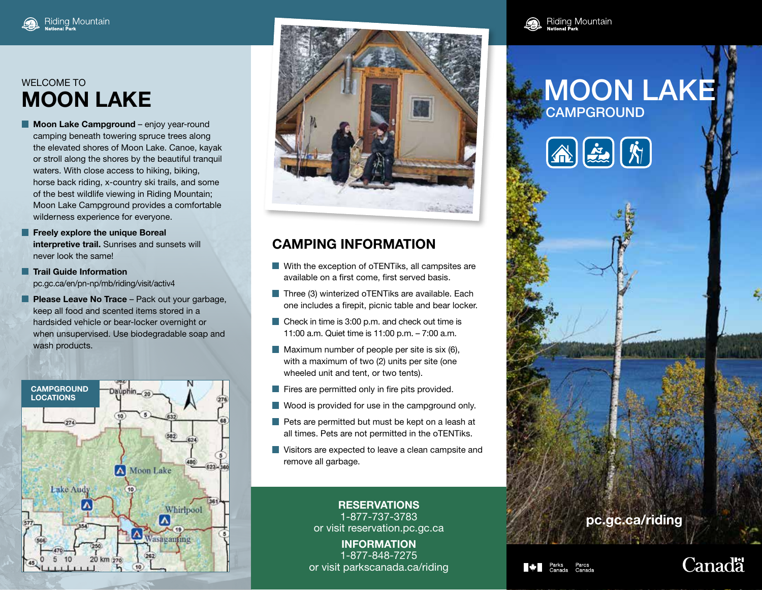## **MOON LAKE**

- **Moon Lake Campground** enjoy year-round camping beneath towering spruce trees along the elevated shores of Moon Lake. Canoe, kayak or stroll along the shores by the beautiful tranquil waters. With close access to hiking, biking, horse back riding, x-country ski trails, and some of the best wildlife viewing in Riding Mountain; Moon Lake Campground provides a comfortable wilderness experience for everyone.
- **Freely explore the unique Boreal interpretive trail.** Sunrises and sunsets will never look the same!
- **Trail Guide Information** pc.gc.ca/en/pn-np/mb/riding/visit/activ4
- **Please Leave No Trace** Pack out your garbage, keep all food and scented items stored in a hardsided vehicle or bear-locker overnight or when unsupervised. Use biodegradable soap and wash products.





## **CAMPING INFORMATION**

- With the exception of oTENTiks, all campsites are available on a first come, first served basis.
- $\blacksquare$  Three (3) winterized oTENTiks are available. Each one includes a firepit, picnic table and bear locker.
- Check in time is 3:00 p.m. and check out time is 11:00 a.m. Quiet time is 11:00 p.m. – 7:00 a.m.
- $\blacksquare$  Maximum number of people per site is six (6), with a maximum of two (2) units per site (one wheeled unit and tent, or two tents).
- $\blacksquare$  Fires are permitted only in fire pits provided.
- Wood is provided for use in the campground only.
- $\blacksquare$  Pets are permitted but must be kept on a leash at all times. Pets are not permitted in the oTENTiks.
- **Visitors are expected to leave a clean campsite and** remove all garbage.

**RESERVATIONS** 1-877-737-3783 or visit reservation.pc.gc.ca

**INFORMATION** 1-877-848-7275 or visit parkscanada.ca/riding



## **CAMPGROUND**







## **Canadä**